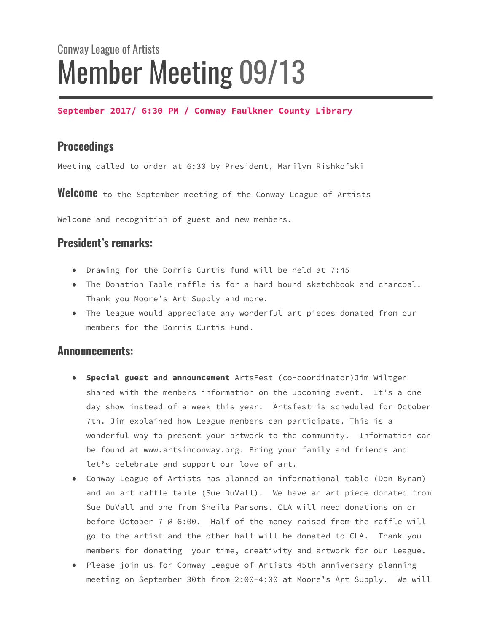# Conway League of Artists Member Meeting 09/13

**September 2017/ 6:30 PM / Conway Faulkner County Library**

# **Proceedings**

Meeting called to order at 6:30 by President, Marilyn Rishkofski

Welcome to the September meeting of the Conway League of Artists

Welcome and recognition of guest and new members.

# **President's remarks:**

- Drawing for the Dorris Curtis fund will be held at 7:45
- The Donation Table raffle is for a hard bound sketchbook and charcoal. Thank you Moore's Art Supply and more.
- The league would appreciate any wonderful art pieces donated from our members for the Dorris Curtis Fund.

#### **Announcements:**

- **Special guest and announcement** ArtsFest (co-coordinator)Jim Wiltgen shared with the members information on the upcoming event. It's a one day show instead of a week this year. Artsfest is scheduled for October 7th. Jim explained how League members can participate. This is a wonderful way to present your artwork to the community. Information can be found at www.artsinconway.org. Bring your family and friends and let's celebrate and support our love of art.
- Conway League of Artists has planned an informational table (Don Byram) and an art raffle table (Sue DuVall). We have an art piece donated from Sue DuVall and one from Sheila Parsons. CLA will need donations on or before October 7 @ 6:00. Half of the money raised from the raffle will go to the artist and the other half will be donated to CLA. Thank you members for donating your time, creativity and artwork for our League.
- Please join us for Conway League of Artists 45th anniversary planning meeting on September 30th from 2:00-4:00 at Moore's Art Supply. We will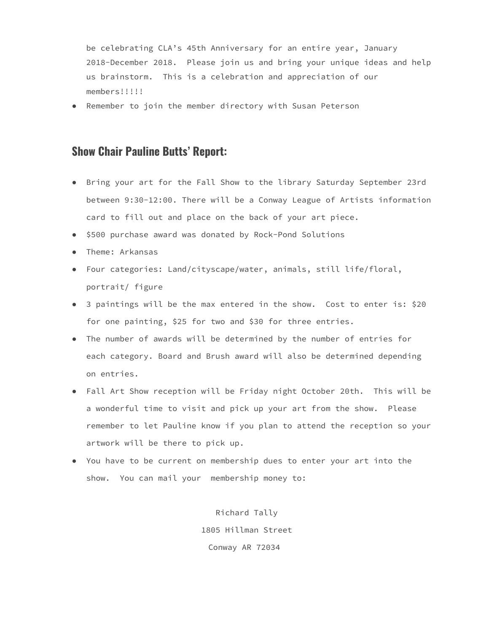be celebrating CLA's 45th Anniversary for an entire year, January 2018-December 2018. Please join us and bring your unique ideas and help us brainstorm. This is a celebration and appreciation of our members!!!!!

● Remember to join the member directory with Susan Peterson

## **Show Chair Pauline Butts' Report:**

- Bring your art for the Fall Show to the library Saturday September 23rd between 9:30-12:00. There will be a Conway League of Artists information card to fill out and place on the back of your art piece.
- \$500 purchase award was donated by Rock-Pond Solutions
- Theme: Arkansas
- Four categories: Land/cityscape/water, animals, still life/floral, portrait/ figure
- 3 paintings will be the max entered in the show. Cost to enter is: \$20 for one painting, \$25 for two and \$30 for three entries.
- The number of awards will be determined by the number of entries for each category. Board and Brush award will also be determined depending on entries.
- Fall Art Show reception will be Friday night October 20th. This will be a wonderful time to visit and pick up your art from the show. Please remember to let Pauline know if you plan to attend the reception so your artwork will be there to pick up.
- You have to be current on membership dues to enter your art into the show. You can mail your membership money to:

Richard Tally 1805 Hillman Street Conway AR 72034